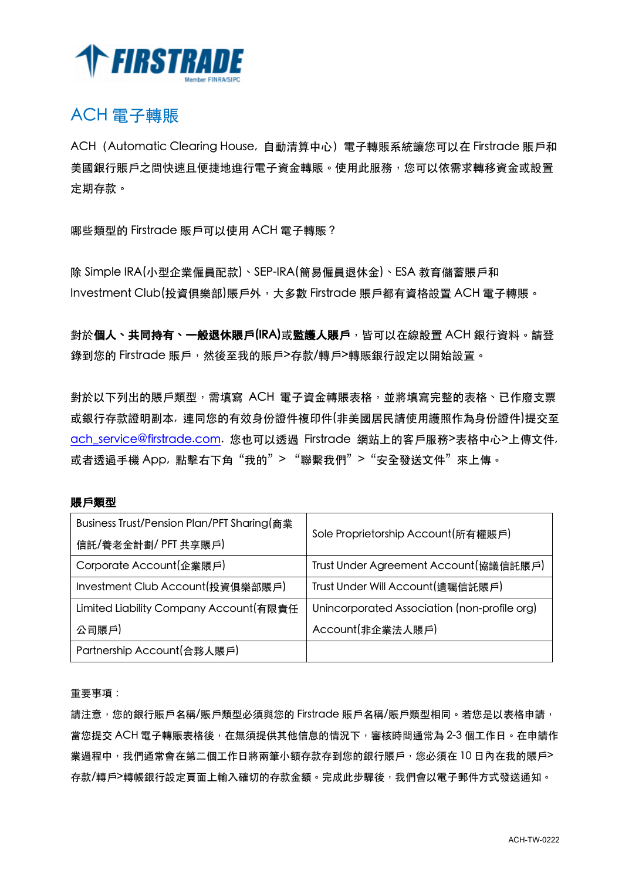

### ACH 電子轉賬

ACH (Automatic Clearing House, 自動清算中心) 電子轉賬系統讓您可以在 Firstrade 賬戶和 美國銀行賬戶之間快速且便捷地進行電子資金轉賬。使用此服務,您可以依需求轉移資金或設置 定期存款。

哪些類型的 Firstrade 賬戶可以使用 ACH 電子轉賬?

除 Simple IRA(小型企業僱員配款)、SEP-IRA(簡易僱員退休金)、ESA 教育儲蓄賬戶和 Investment Club(投資俱樂部)賬戶外, 大多數 Firstrade 賬戶都有資格設置 ACH 電子轉賬。

對於個人、共同持有、一般退休賬戶(IRA)或監護人賬戶,皆可以在線設置 ACH 銀行資料。請登 錄到您的 Firstrade 賬戶,然後至我的賬戶>存款/轉戶>轉賬銀行設定以開始設置。

對於以下列出的賬戶類型,需填寫 ACH 雷子資金轉賬表格,並將填寫完整的表格、已作廢支票 或銀行存款證明副本, 連同您的有效身份證件複印件(非美國居民請使用護照作為身份證件)提交至 ach\_service@firstrade.com. 您也可以透過 Firstrade 網站上的客戶服務>表格中心>上傳文件, 或者透過手機 App, 點擊右下角"我的"> "聯繫我們"> "安全發送文件"來上傳。

### 賬⼾類型

| Business Trust/Pension Plan/PFT Sharing(商業 | Sole Proprietorship Account(所有權賬戶)           |  |
|--------------------------------------------|----------------------------------------------|--|
| 信託/養老金計劃/ PFT 共享賬戶)                        |                                              |  |
| Corporate Account(企業賬戶)                    | Trust Under Agreement Account(協議信託賬戶)        |  |
| Investment Club Account(投資俱樂部賬戶)           | Trust Under Will Account(遺囑信託賬戶)             |  |
| Limited Liability Company Account(有限責任     | Unincorporated Association (non-profile org) |  |
| 公司賬戶                                       | Account(非企業法人賬戶)                             |  |
| Partnership Account(合夥人賬戶)                 |                                              |  |

重要事項:

請注意,您的銀行賬戶名稱/賬戶類型必須與您的 Firstrade 賬戶名稱/賬戶類型相同。若您是以表格申請, 當您提交 ACH 電子轉賬表格後,在無須提供其他信息的情況下,審核時間通常為 2-3 個工作日。在申請作 業過程中,我們通常會在第二個工作日將兩筆小額存款存到您的銀行賬戶,您必須在 10 日內在我的賬戶> 存款/轉戶>轉帳銀行設定頁面上輸入確切的存款金額。完成此步驟後,我們會以電子郵件方式發送通知。